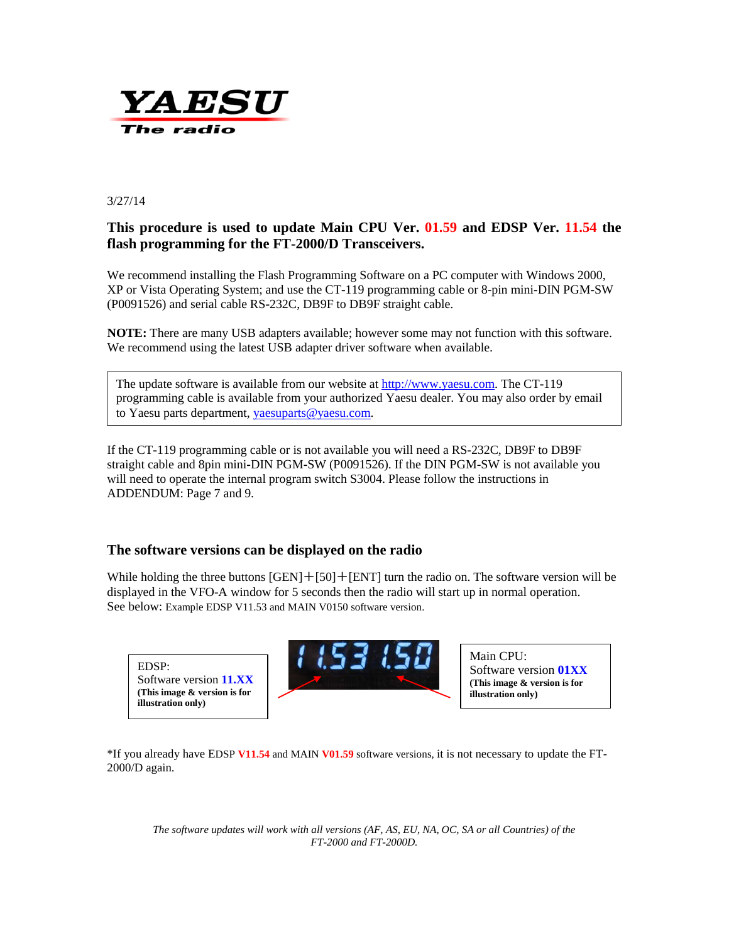

#### 3/27/14

## **This procedure is used to update Main CPU Ver. 01.59 and EDSP Ver. 11.54 the flash programming for the FT-2000/D Transceivers.**

We recommend installing the Flash Programming Software on a PC computer with Windows 2000, XP or Vista Operating System; and use the CT**-**119 programming cable or 8-pin mini**-**DIN PGM**-**SW (P0091526) and serial cable RS**-**232C, DB9F to DB9F straight cable.

**NOTE:** There are many USB adapters available; however some may not function with this software. We recommend using the latest USB adapter driver software when available.

The update software is available from our website a[t http://www.yaesu.com.](http://www.yaesu.com/) The CT**-**119 programming cable is available from your authorized Yaesu dealer. You may also order by email to Yaesu parts department, [yaesuparts@yaesu.com.](mailto:yaesuparts@yaesu.com) 

If the CT**-**119 programming cable or is not available you will need a RS**-**232C, DB9F to DB9F straight cable and 8pin mini**-**DIN PGM**-**SW (P0091526). If the DIN PGM-SW is not available you will need to operate the internal program switch S3004. Please follow the instructions in ADDENDUM: Page 7 and 9.

### **The software versions can be displayed on the radio**

While holding the three buttons  $[GEN]+[50]+[ENT]$  turn the radio on. The software version will be displayed in the VFO-A window for 5 seconds then the radio will start up in normal operation. See below: Example EDSP V11.53 and MAIN V0150 software version.

EDSP: Software version **11.XX (This image & version is for illustration only)** 



Main CPU: Software version **01XX (This image & version is for illustration only)** 

\*If you already have EDSP **V11.54** and MAIN **V01.59** software versions, it is not necessary to update the FT**-**2000/D again.

*The software updates will work with all versions (AF, AS, EU, NA, OC, SA or all Countries) of the FT-2000 and FT-2000D.*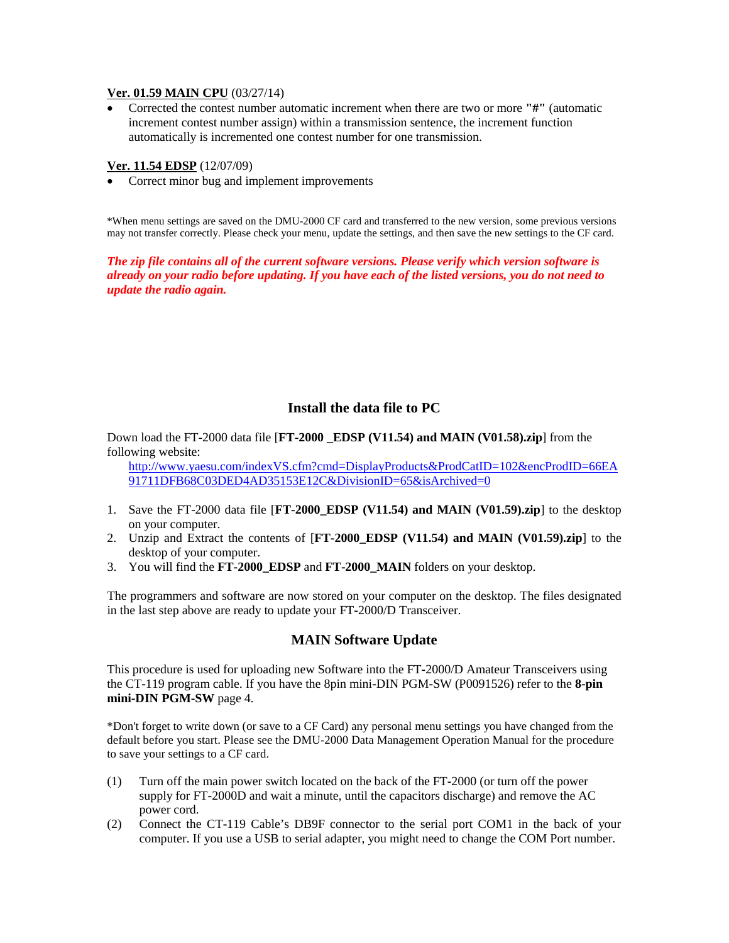#### **Ver. 01.59 MAIN CPU** (03/27/14)

• Corrected the contest number automatic increment when there are two or more **"#"** (automatic increment contest number assign) within a transmission sentence, the increment function automatically is incremented one contest number for one transmission.

#### **Ver. 11.54 EDSP** (12/07/09)

• Correct minor bug and implement improvements

\*When menu settings are saved on the DMU-2000 CF card and transferred to the new version, some previous versions may not transfer correctly. Please check your menu, update the settings, and then save the new settings to the CF card.

*The zip file contains all of the current software versions. Please verify which version software is already on your radio before updating. If you have each of the listed versions, you do not need to update the radio again.* 

### **Install the data file to PC**

Down load the FT-2000 data file [**FT-2000 \_EDSP (V11.54) and MAIN (V01.58).zip**] from the following website:

[http://www.yaesu.com/indexVS.cfm?cmd=DisplayProducts&ProdCatID=102&encProdID=66EA](http://www.yaesu.com/indexVS.cfm?cmd=DisplayProducts&ProdCatID=102&encProdID=66EA91711DFB68C03DED4AD35153E12C&DivisionID=65&isArchived=0) [91711DFB68C03DED4AD35153E12C&DivisionID=65&isArchived=0](http://www.yaesu.com/indexVS.cfm?cmd=DisplayProducts&ProdCatID=102&encProdID=66EA91711DFB68C03DED4AD35153E12C&DivisionID=65&isArchived=0)

- 1. Save the FT-2000 data file [**FT-2000\_EDSP (V11.54) and MAIN (V01.59).zip**] to the desktop on your computer.
- 2. Unzip and Extract the contents of [**FT-2000\_EDSP (V11.54) and MAIN (V01.59).zip**] to the desktop of your computer.
- 3. You will find the **FT-2000\_EDSP** and **FT-2000\_MAIN** folders on your desktop.

The programmers and software are now stored on your computer on the desktop. The files designated in the last step above are ready to update your FT**-**2000/D Transceiver.

### **MAIN Software Update**

This procedure is used for uploading new Software into the FT**-**2000/D Amateur Transceivers using the CT**-**119 program cable. If you have the 8pin mini**-**DIN PGM**-**SW (P0091526) refer to the **8-pin mini-DIN PGM-SW** page 4.

\*Don't forget to write down (or save to a CF Card) any personal menu settings you have changed from the default before you start. Please see the DMU-2000 Data Management Operation Manual for the procedure to save your settings to a CF card.

- (1) Turn off the main power switch located on the back of the FT**-**2000 (or turn off the power supply for FT**-**2000D and wait a minute, until the capacitors discharge) and remove the AC power cord.
- (2) Connect the CT**-**119 Cable's DB9F connector to the serial port COM1 in the back of your computer. If you use a USB to serial adapter, you might need to change the COM Port number.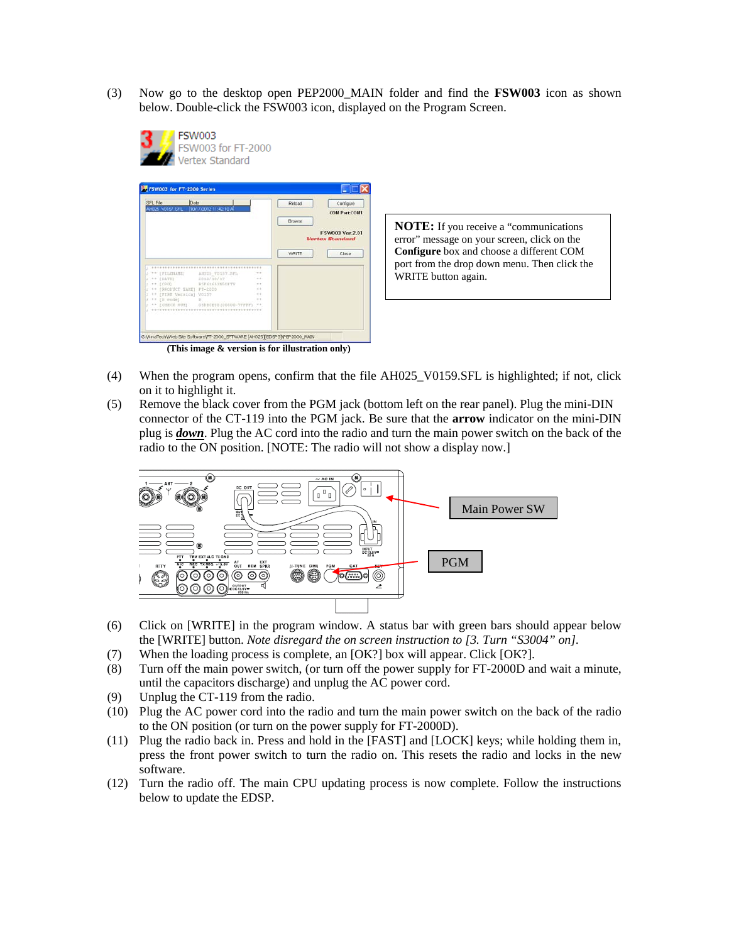(3) Now go to the desktop open PEP2000\_MAIN folder and find the **FSW003** icon as shown below. Double-click the FSW003 icon, displayed on the Program Screen.



**NOTE:** If you receive a "communications error" message on your screen, click on the **Configure** box and choose a different COM port from the drop down menu. Then click the WRITE button again.

- (4) When the program opens, confirm that the file AH025\_V0159.SFL is highlighted; if not, click on it to highlight it.
- (5) Remove the black cover from the PGM jack (bottom left on the rear panel). Plug the mini-DIN connector of the CT-119 into the PGM jack. Be sure that the **arrow** indicator on the mini**-**DIN plug is *down*. Plug the AC cord into the radio and turn the main power switch on the back of the radio to the ON position. [NOTE: The radio will not show a display now.]



- (6) Click on [WRITE] in the program window. A status bar with green bars should appear below the [WRITE] button. *Note disregard the on screen instruction to [3. Turn "S3004" on].*
- (7) When the loading process is complete, an [OK?] box will appear. Click [OK?].
- (8) Turn off the main power switch, (or turn off the power supply for FT**-**2000D and wait a minute, until the capacitors discharge) and unplug the AC power cord.
- (9) Unplug the CT**-**119 from the radio.
- (10) Plug the AC power cord into the radio and turn the main power switch on the back of the radio to the ON position (or turn on the power supply for FT**-**2000D).
- (11) Plug the radio back in. Press and hold in the [FAST] and [LOCK] keys; while holding them in, press the front power switch to turn the radio on. This resets the radio and locks in the new software.
- (12) Turn the radio off. The main CPU updating process is now complete. Follow the instructions below to update the EDSP.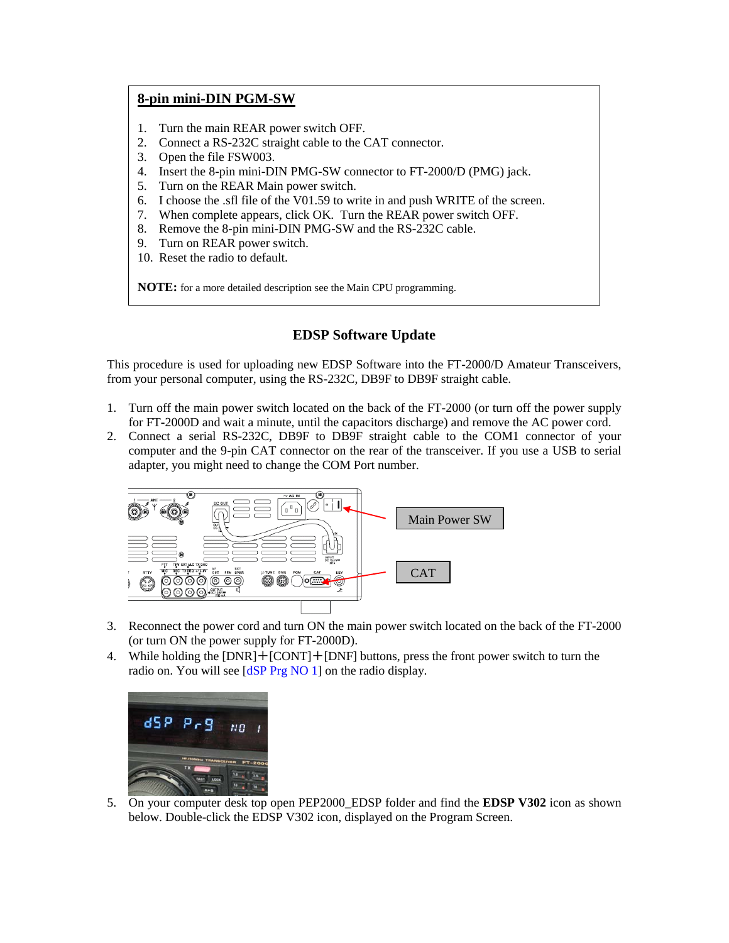# **8-pin mini-DIN PGM-SW**

- 1. Turn the main REAR power switch OFF.
- 2. Connect a RS-232C straight cable to the CAT connector.
- 3. Open the file FSW003.
- 4. Insert the 8**-**pin mini-DIN PMG-SW connector to FT**-**2000/D (PMG) jack.
- 5. Turn on the REAR Main power switch.
- 6. I choose the .sfl file of the V01.59 to write in and push WRITE of the screen.
- 7. When complete appears, click OK. Turn the REAR power switch OFF.
- 8. Remove the 8**-**pin mini**-**DIN PMG**-**SW and the RS**-**232C cable.
- 9. Turn on REAR power switch.
- 10. Reset the radio to default.

**NOTE:** for a more detailed description see the Main CPU programming.

## **EDSP Software Update**

This procedure is used for uploading new EDSP Software into the FT**-**2000/D Amateur Transceivers, from your personal computer, using the RS**-**232C, DB9F to DB9F straight cable.

- 1. Turn off the main power switch located on the back of the FT**-**2000 (or turn off the power supply for FT**-**2000D and wait a minute, until the capacitors discharge) and remove the AC power cord.
- 2. Connect a serial RS-232C, DB9F to DB9F straight cable to the COM1 connector of your computer and the 9-pin CAT connector on the rear of the transceiver. If you use a USB to serial adapter, you might need to change the COM Port number.



- 3. Reconnect the power cord and turn ON the main power switch located on the back of the FT**-**2000 (or turn ON the power supply for FT**-**2000D).
- 4. While holding the [DNR]+[CONT]+[DNF] buttons, press the front power switch to turn the radio on. You will see [dSP Prg NO 1] on the radio display.



5. On your computer desk top open PEP2000\_EDSP folder and find the **EDSP V302** icon as shown below. Double-click the EDSP V302 icon, displayed on the Program Screen.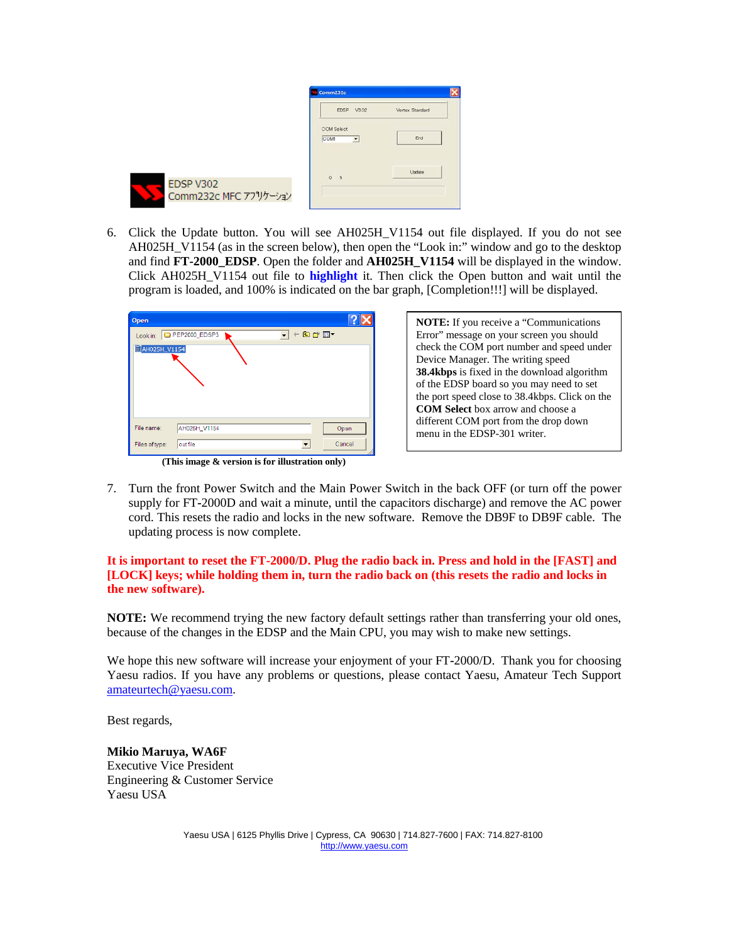|                                    | Comm232c                             |                 |
|------------------------------------|--------------------------------------|-----------------|
|                                    | EDSP V3.02                           | Vertex Standard |
|                                    | <b>COM Select</b><br><b>COM</b><br>Ξ | End             |
| EDSP V302<br>Comm232c MFC アプリケーション | $0 *$                                | Undate          |

6. Click the Update button. You will see AH025H\_V1154 out file displayed. If you do not see AH025H\_V1154 (as in the screen below), then open the "Look in:" window and go to the desktop and find **FT-2000\_EDSP**. Open the folder and **AH025H\_V1154** will be displayed in the window. Click AH025H\_V1154 out file to **highlight** it. Then click the Open button and wait until the program is loaded, and 100% is indicated on the bar graph, [Completion!!!] will be displayed.

| Open           |                                                 |       |        |
|----------------|-------------------------------------------------|-------|--------|
|                | Look in: PEP2000_EDSP3                          | ←自合國▼ |        |
| AH025H_V1154   |                                                 |       |        |
|                |                                                 |       |        |
|                |                                                 |       |        |
|                |                                                 |       |        |
|                |                                                 |       |        |
| File name:     | AH025H_V1154                                    |       | Open   |
| Files of type: | out file                                        |       | Cancel |
|                | (This image & version is for illustration only) |       |        |

**NOTE:** If you receive a "Communications Error" message on your screen you should check the COM port number and speed under Device Manager. The writing speed **38.4kbps** is fixed in the download algorithm of the EDSP board so you may need to set the port speed close to 38.4kbps. Click on the **COM Select** box arrow and choose a different COM port from the drop down menu in the EDSP-301 writer.

7. Turn the front Power Switch and the Main Power Switch in the back OFF (or turn off the power supply for FT**-**2000D and wait a minute, until the capacitors discharge) and remove the AC power cord. This resets the radio and locks in the new software. Remove the DB9F to DB9F cable. The updating process is now complete.

#### **It is important to reset the FT-2000/D. Plug the radio back in. Press and hold in the [FAST] and [LOCK] keys; while holding them in, turn the radio back on (this resets the radio and locks in the new software).**

**NOTE:** We recommend trying the new factory default settings rather than transferring your old ones, because of the changes in the EDSP and the Main CPU, you may wish to make new settings.

We hope this new software will increase your enjoyment of your FT**-**2000/D. Thank you for choosing Yaesu radios. If you have any problems or questions, please contact Yaesu, Amateur Tech Support [amateurtech@yaesu.com.](mailto:amateurtech@yaesu.com)

Best regards,

**Mikio Maruya, WA6F** Executive Vice President Engineering & Customer Service Yaesu USA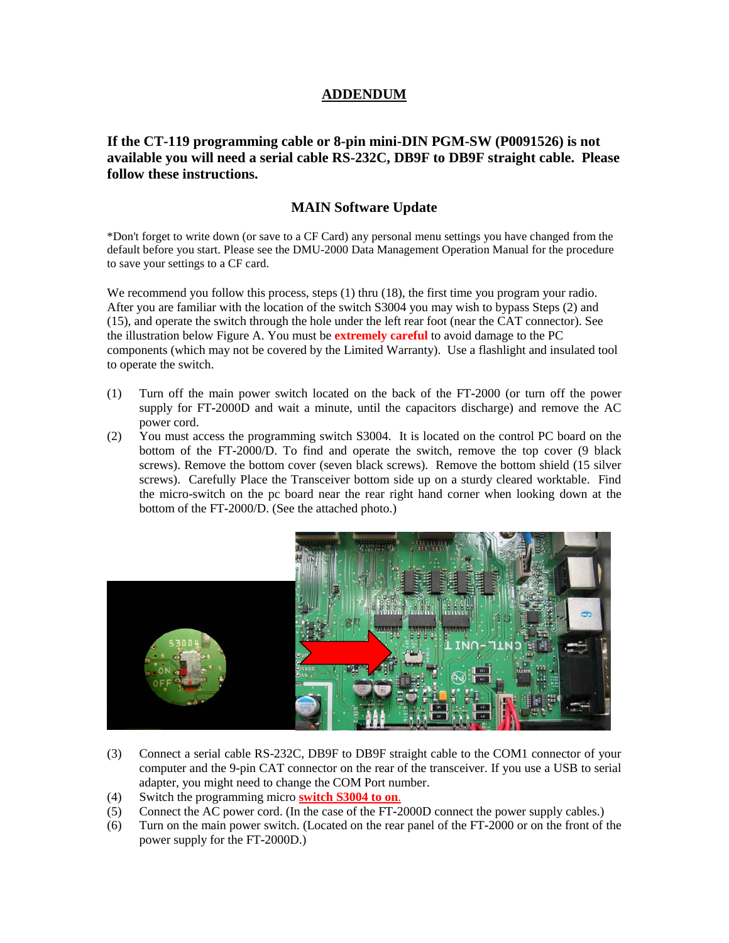# **ADDENDUM**

**If the CT-119 programming cable or 8-pin mini-DIN PGM-SW (P0091526) is not available you will need a serial cable RS-232C, DB9F to DB9F straight cable. Please follow these instructions.**

## **MAIN Software Update**

\*Don't forget to write down (or save to a CF Card) any personal menu settings you have changed from the default before you start. Please see the DMU-2000 Data Management Operation Manual for the procedure to save your settings to a CF card.

We recommend you follow this process, steps (1) thru (18), the first time you program your radio. After you are familiar with the location of the switch S3004 you may wish to bypass Steps (2) and (15), and operate the switch through the hole under the left rear foot (near the CAT connector). See the illustration below Figure A. You must be **extremely careful** to avoid damage to the PC components (which may not be covered by the Limited Warranty). Use a flashlight and insulated tool to operate the switch.

- (1) Turn off the main power switch located on the back of the FT**-**2000 (or turn off the power supply for FT**-**2000D and wait a minute, until the capacitors discharge) and remove the AC power cord.
- (2) You must access the programming switch S3004. It is located on the control PC board on the bottom of the FT**-**2000/D. To find and operate the switch, remove the top cover (9 black screws). Remove the bottom cover (seven black screws). Remove the bottom shield (15 silver screws). Carefully Place the Transceiver bottom side up on a sturdy cleared worktable. Find the micro-switch on the pc board near the rear right hand corner when looking down at the bottom of the FT**-**2000/D. (See the attached photo.)



- (3) Connect a serial cable RS-232C, DB9F to DB9F straight cable to the COM1 connector of your computer and the 9-pin CAT connector on the rear of the transceiver. If you use a USB to serial adapter, you might need to change the COM Port number.
- (4) Switch the programming micro **switch S3004 to on**.
- (5) Connect the AC power cord. (In the case of the FT**-**2000D connect the power supply cables.)
- (6) Turn on the main power switch. (Located on the rear panel of the FT**-**2000 or on the front of the power supply for the FT**-**2000D.)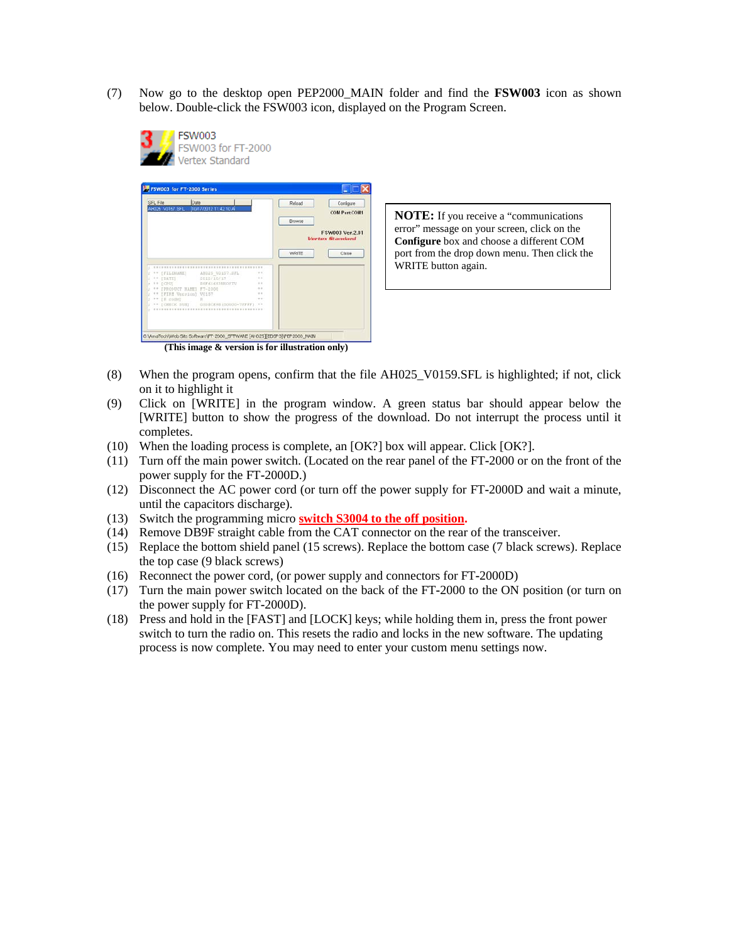(7) Now go to the desktop open PEP2000\_MAIN folder and find the **FSW003** icon as shown below. Double**-**click the FSW003 icon, displayed on the Program Screen.



| SFL File<br>Date                                     |                |                  | Reload | Configure                                 |
|------------------------------------------------------|----------------|------------------|--------|-------------------------------------------|
| AH025 V0157 SFL<br>10/17/2012 11:42 10 A             |                |                  |        | <b>COM Port:COM1</b>                      |
|                                                      |                |                  | Browse |                                           |
|                                                      |                |                  |        | FSW003 Ver.2.01<br><b>Vertex Standard</b> |
|                                                      |                |                  | WRITE  | Close                                     |
|                                                      |                |                  |        |                                           |
| ** [FILENAME] ANGLS VOIS7.SFL<br><b>IDATES</b><br>11 | 2012/10/17     | $+1$<br>$\cdots$ |        |                                           |
| ECPUT<br>$\cdots$                                    | B5F616S1N5OFTV | $\rightarrow$    |        |                                           |
| ** IPRODUCT NAME! FT-2000                            |                | $\sim$<br>$+ +$  |        |                                           |
| ** IFIRE Version) V0157<br>** (il code)              |                | $+ +$            |        |                                           |
| ** FORECK BUNI OSDBCK98100000-7FFFF)                 |                |                  |        |                                           |
|                                                      |                |                  |        |                                           |
|                                                      |                |                  |        |                                           |
|                                                      |                |                  |        |                                           |
|                                                      |                |                  |        |                                           |

**NOTE:** If you receive a "communications error" message on your screen, click on the **Configure** box and choose a different COM port from the drop down menu. Then click the WRITE button again.

- (8) When the program opens, confirm that the file AH025\_V0159.SFL is highlighted; if not, click on it to highlight it
- (9) Click on [WRITE] in the program window. A green status bar should appear below the [WRITE] button to show the progress of the download. Do not interrupt the process until it completes.
- (10) When the loading process is complete, an [OK?] box will appear. Click [OK?].
- (11) Turn off the main power switch. (Located on the rear panel of the FT**-**2000 or on the front of the power supply for the FT**-**2000D.)
- (12) Disconnect the AC power cord (or turn off the power supply for FT**-**2000D and wait a minute, until the capacitors discharge).
- (13) Switch the programming micro **switch S3004 to the off position.**
- (14) Remove DB9F straight cable from the CAT connector on the rear of the transceiver.
- (15) Replace the bottom shield panel (15 screws). Replace the bottom case (7 black screws). Replace the top case (9 black screws)
- (16) Reconnect the power cord, (or power supply and connectors for FT**-**2000D)
- (17) Turn the main power switch located on the back of the FT**-**2000 to the ON position (or turn on the power supply for FT**-**2000D).
- (18) Press and hold in the [FAST] and [LOCK] keys; while holding them in, press the front power switch to turn the radio on. This resets the radio and locks in the new software. The updating process is now complete. You may need to enter your custom menu settings now.